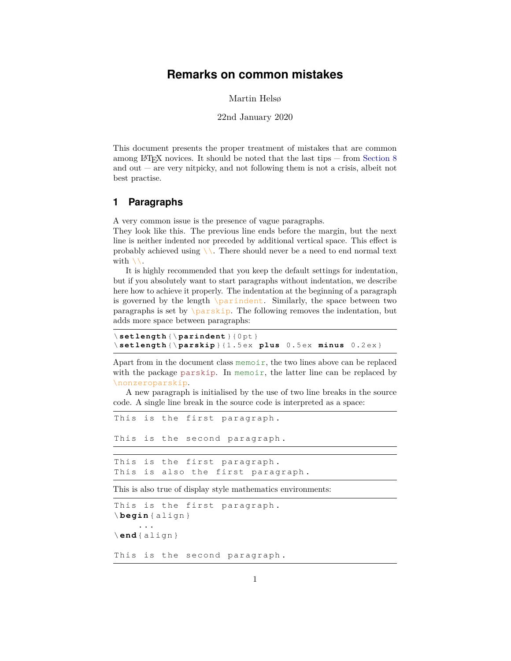# **Remarks on common mistakes**

Martin Helsø

#### 22nd January 2020

This document presents the proper treatment of mistakes that are common among LAT<sub>EX</sub> novices. It should be noted that the last tips  $-$  from [Section 8](#page-4-0) and out  $-$  are very nitpicky, and not following them is not a crisis, albeit not best practise.

## **1 Paragraphs**

A very common issue is the presence of vague paragraphs.

They look like this. The previous line ends before the margin, but the next line is neither indented nor preceded by additional vertical space. This effect is probably achieved using  $\setminus$ . There should never be a need to end normal text with  $\setminus \setminus$ .

It is highly recommended that you keep the default settings for indentation, but if you absolutely want to start paragraphs without indentation, we describe here how to achieve it properly. The indentation at the beginning of a paragraph is governed by the length  $\partial$ - Similarly, the space between two paragraphs is set by  $\sqrt{parskip}$ . The following removes the indentation, but adds more space between paragraphs:

```
\ setlength {\ parindent }{0 pt }
\ setlength {\ parskip }{1.5 ex plus 0.5 ex minus 0.2 ex }
```
Apart from in the document class memoir, the two lines above can be replaced with the package parskip. In memoir, the latter line can be replaced by \nonzeroparskip.

A new paragraph is initialised by the use of two line breaks in the source code. A single line break in the source code is interpreted as a space:

```
This is the first paragraph .
This is the second paragraph .
This is the first paragraph .
This is also the first paragraph .
```
This is also true of display style mathematics environments:

```
This is the first paragraph .
\ begin { align }
     ...
\ end{ align }
This is the second paragraph .
```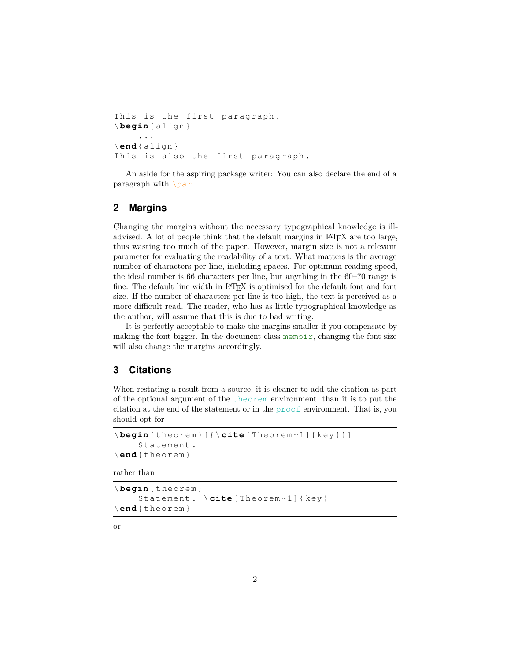```
This is the first paragraph .
\ begin { align }
     ...
\ end{ align }
This is also the first paragraph .
```
An aside for the aspiring package writer: You can also declare the end of a paragraph with \par.

## **2 Margins**

Changing the margins without the necessary typographical knowledge is illadvised. A lot of people think that the default margins in LAT<sub>EX</sub> are too large, thus wasting too much of the paper. However, margin size is not a relevant parameter for evaluating the readability of a text. What matters is the average number of characters per line, including spaces. For optimum reading speed, the ideal number is 66 characters per line, but anything in the 60–70 range is fine. The default line width in LAT<sub>EX</sub> is optimised for the default font and font size. If the number of characters per line is too high, the text is perceived as a more difficult read. The reader, who has as little typographical knowledge as the author, will assume that this is due to bad writing.

It is perfectly acceptable to make the margins smaller if you compensate by making the font bigger. In the document class memoir, changing the font size will also change the margins accordingly.

#### **3 Citations**

When restating a result from a source, it is cleaner to add the citation as part of the optional argument of the theorem environment, than it is to put the citation at the end of the statement or in the proof environment. That is, you should opt for

```
\ begin { theorem }[{\ cite [ Theorem ~1]{ key }}]
     Statement .
\ end{ theorem }
```
rather than

```
\ begin { theorem }
     Statement. \cite [Theorem~1] { key }
\ end{ theorem }
```
or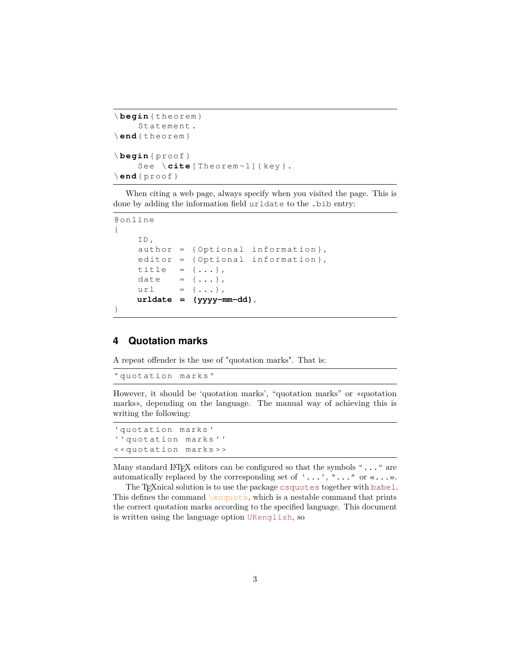```
\ begin { theorem }
     Statement .
\ end{ theorem }
\ begin { proof }
     See \cite[Theorem~1]{key }.
\ end{ proof }
```
When citing a web page, always specify when you visited the page. This is done by adding the information field urldate to the .bib entry:

```
@online
{
    ID ,
    author = { Optional information } ,
    editor = { Optional information } ,
    title = \{ \ldots \},
    date = \{\ldots\},
    url = {\dots},
    urldate = {yyyy-mm-dd},
}
```
# **4 Quotation marks**

A repeat offender is the use of "quotation marks". That is:

" quotation marks "

However, it should be 'quotation marks', "quotation marks" or «quotation marks», depending on the language. The manual way of achieving this is writing the following:

```
' quotation marks '
'' quotation marks ' '
<< quotation marks > >
```
Many standard LAT<sub>E</sub>X editors can be configured so that the symbols " $\dots$  " are automatically replaced by the corresponding set of  $\cdot \ldots \cdot$ ,  $\cdot \ldots \cdot$  or  $\cdot \ldots \cdot$ .

The T<sub>E</sub>Xnical solution is to use the package csquotes together with babel. This defines the command  $\emptyset$ , which is a nestable command that prints the correct quotation marks according to the specified language. This document is written using the language option UKenglish, so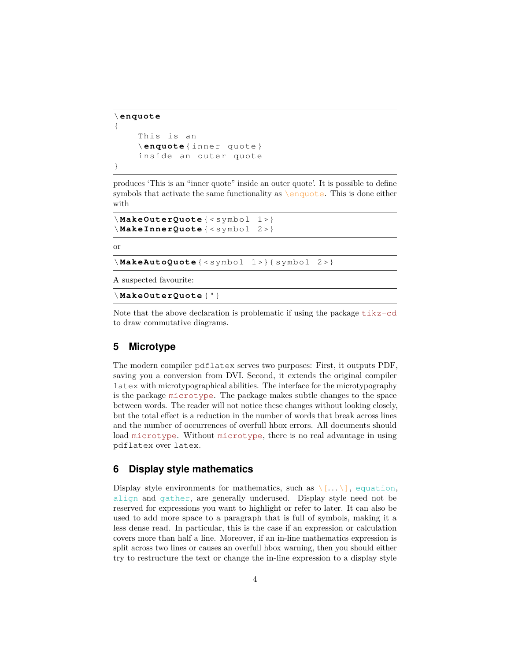```
\ enquote
{
    This is an
    \ enquote { inner quote }
    inside an outer quote
}
```
produces 'This is an "inner quote" inside an outer quote'. It is possible to define symbols that activate the same functionality as \enquote. This is done either with

```
\ MakeOuterQuote { < symbol 1 >}
\ MakeInnerQuote { < symbol 2 >}
```
or

\ **MakeAutoQuote** { < symbol 1 >}{ symbol 2 >}

A suspected favourite:

\ **MakeOuterQuote** {"}

Note that the above declaration is problematic if using the package tikz-cd to draw commutative diagrams.

#### **5 Microtype**

The modern compiler pdflatex serves two purposes: First, it outputs PDF, saving you a conversion from DVI. Second, it extends the original compiler latex with microtypographical abilities. The interface for the microtypography is the package microtype. The package makes subtle changes to the space between words. The reader will not notice these changes without looking closely, but the total effect is a reduction in the number of words that break across lines and the number of occurrences of overfull hbox errors. All documents should load microtype. Without microtype, there is no real advantage in using pdflatex over latex.

#### **6 Display style mathematics**

Display style environments for mathematics, such as  $\langle \ldots \rangle$ , equation, align and gather, are generally underused. Display style need not be reserved for expressions you want to highlight or refer to later. It can also be used to add more space to a paragraph that is full of symbols, making it a less dense read. In particular, this is the case if an expression or calculation covers more than half a line. Moreover, if an in-line mathematics expression is split across two lines or causes an overfull hbox warning, then you should either try to restructure the text or change the in-line expression to a display style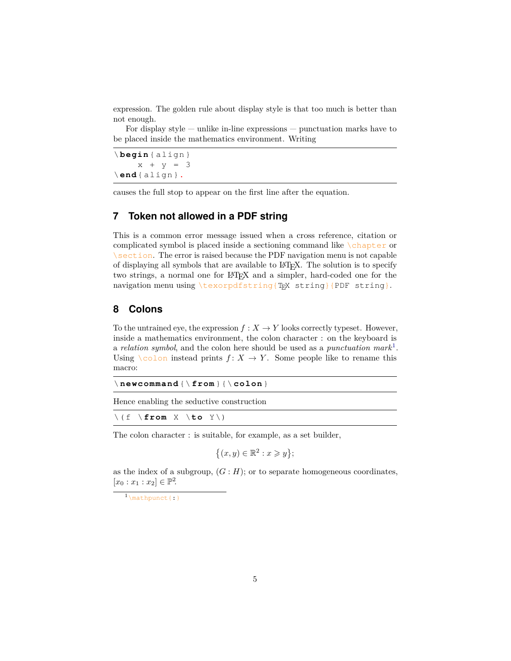expression. The golden rule about display style is that too much is better than not enough.

For display style  $-$  unlike in-line expressions  $-$  punctuation marks have to be placed inside the mathematics environment. Writing

\ **begin** { align }  $x + y = 3$ \ **end**{ align }**.**

causes the full stop to appear on the first line after the equation.

## **7 Token not allowed in a PDF string**

This is a common error message issued when a cross reference, citation or complicated symbol is placed inside a sectioning command like  $\lambda$ chapter or  $\setminus$  section. The error is raised because the PDF navigation menu is not capable of displaying all symbols that are available to LATEX. The solution is to specify two strings, a normal one for LAT<sub>EX</sub> and a simpler, hard-coded one for the navigation menu using \texorpdfstring{TEX string}{PDF string}.

#### <span id="page-4-0"></span>**8 Colons**

To the untrained eye, the expression  $f: X \to Y$  looks correctly typeset. However, inside a mathematics environment, the colon character : on the keyboard is a *relation symbol*, and the colon here should be used as a *punctuation mark*[1](#page-4-1) . Using  $\setminus$  colon instead prints  $f: X \to Y$ . Some people like to rename this macro:

| $\setminus$ new command $\setminus$ from $\setminus$ $\setminus$ colon $\}$ |  |  |  |  |  |
|-----------------------------------------------------------------------------|--|--|--|--|--|
|-----------------------------------------------------------------------------|--|--|--|--|--|

Hence enabling the seductive construction

\( f \ **from** X \**to** Y \)

The colon character : is suitable, for example, as a set builder,

$$
\{(x,y)\in\mathbb{R}^2:x\geqslant y\};
$$

as the index of a subgroup,  $(G : H)$ ; or to separate homogeneous coordinates,  $[x_0 : x_1 : x_2] \in \mathbb{P}^2$ .

<span id="page-4-1"></span><sup>1</sup>\mathpunct{:}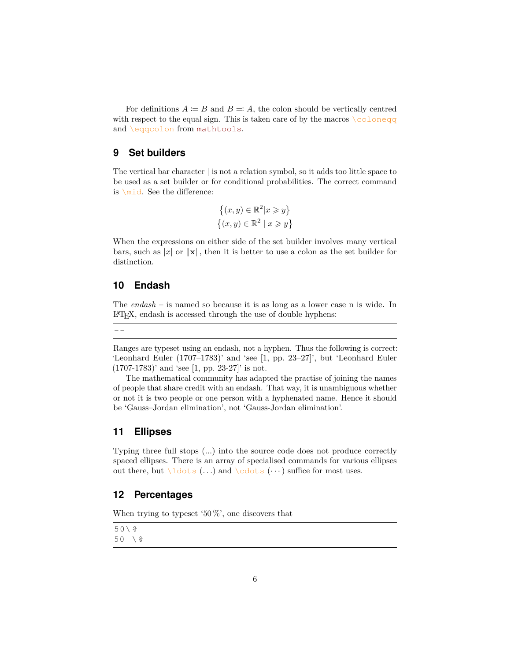For definitions  $A \coloneqq B$  and  $B =: A$ , the colon should be vertically centred with respect to the equal sign. This is taken care of by the macros  $\setminus$  coloneqq and \eqqcolon from mathtools.

#### **9 Set builders**

The vertical bar character | is not a relation symbol, so it adds too little space to be used as a set builder or for conditional probabilities. The correct command is \mid. See the difference:

$$
\{(x, y) \in \mathbb{R}^2 | x \geq y\}
$$

$$
\{(x, y) \in \mathbb{R}^2 | x \geq y\}
$$

When the expressions on either side of the set builder involves many vertical bars, such as  $|x|$  or  $||\mathbf{x}||$ , then it is better to use a colon as the set builder for distinction.

#### **10 Endash**

The *endash* – is named so because it is as long as a lower case n is wide. In LATEX, endash is accessed through the use of double hyphens:

--

Ranges are typeset using an endash, not a hyphen. Thus the following is correct: 'Leonhard Euler (1707–1783)' and 'see [1, pp. 23–27]', but 'Leonhard Euler  $(1707-1783)'$  and 'see [1, pp. 23-27]' is not.

The mathematical community has adapted the practise of joining the names of people that share credit with an endash. That way, it is unambiguous whether or not it is two people or one person with a hyphenated name. Hence it should be 'Gauss–Jordan elimination', not 'Gauss-Jordan elimination'.

## **11 Ellipses**

Typing three full stops (*...*) into the source code does not produce correctly spaced ellipses. There is an array of specialised commands for various ellipses out there, but  $\ldots$  and  $\cdots$  and  $\cdots$  suffice for most uses.

## **12 Percentages**

When trying to typeset '50%', one discovers that

50\*%* 50 \*%*